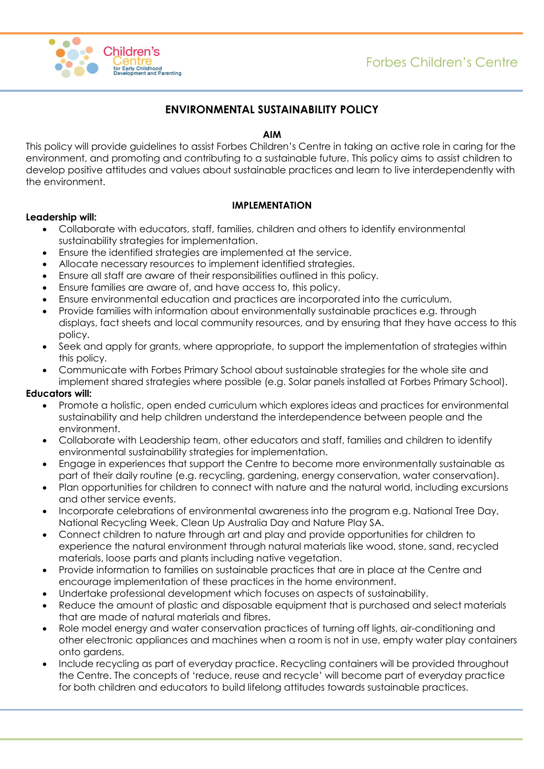

# **ENVIRONMENTAL SUSTAINABILITY POLICY**

# **AIM**

This policy will provide guidelines to assist Forbes Children's Centre in taking an active role in caring for the environment, and promoting and contributing to a sustainable future. This policy aims to assist children to develop positive attitudes and values about sustainable practices and learn to live interdependently with the environment.

# **IMPLEMENTATION**

# **Leadership will:**

- Collaborate with educators, staff, families, children and others to identify environmental sustainability strategies for implementation.
- Ensure the identified strategies are implemented at the service.
- Allocate necessary resources to implement identified strategies.
- Ensure all staff are aware of their responsibilities outlined in this policy.
- Ensure families are aware of, and have access to, this policy.
- Ensure environmental education and practices are incorporated into the curriculum.
- Provide families with information about environmentally sustainable practices e.g. through displays, fact sheets and local community resources, and by ensuring that they have access to this policy.
- Seek and apply for grants, where appropriate, to support the implementation of strategies within this policy.
- Communicate with Forbes Primary School about sustainable strategies for the whole site and implement shared strategies where possible (e.g. Solar panels installed at Forbes Primary School).

#### **Educators will:**

- Promote a holistic, open ended curriculum which explores ideas and practices for environmental sustainability and help children understand the interdependence between people and the environment.
- Collaborate with Leadership team, other educators and staff, families and children to identify environmental sustainability strategies for implementation.
- Engage in experiences that support the Centre to become more environmentally sustainable as part of their daily routine (e.g. recycling, gardening, energy conservation, water conservation).
- Plan opportunities for children to connect with nature and the natural world, including excursions and other service events.
- Incorporate celebrations of environmental awareness into the program e.g. National Tree Day, National Recycling Week, Clean Up Australia Day and Nature Play SA.
- Connect children to nature through art and play and provide opportunities for children to experience the natural environment through natural materials like wood, stone, sand, recycled materials, loose parts and plants including native vegetation.
- Provide information to families on sustainable practices that are in place at the Centre and encourage implementation of these practices in the home environment.
- Undertake professional development which focuses on aspects of sustainability.
- Reduce the amount of plastic and disposable equipment that is purchased and select materials that are made of natural materials and fibres.
- Role model energy and water conservation practices of turning off lights, air-conditioning and other electronic appliances and machines when a room is not in use, empty water play containers onto gardens.
- Include recycling as part of everyday practice. Recycling containers will be provided throughout the Centre. The concepts of 'reduce, reuse and recycle' will become part of everyday practice for both children and educators to build lifelong attitudes towards sustainable practices.